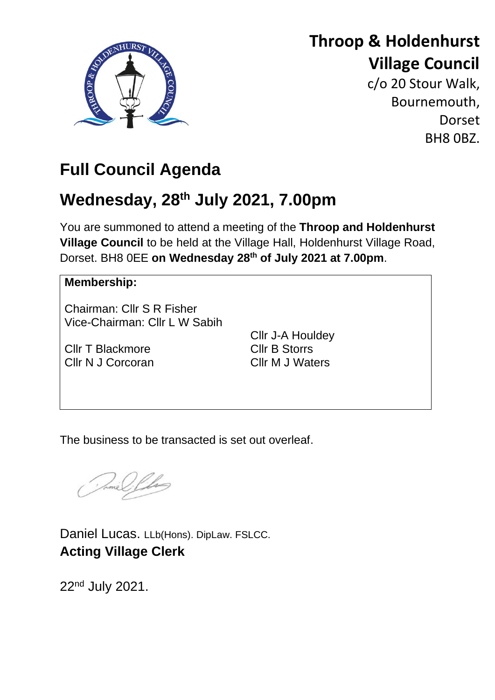

# **Throop & Holdenhurst Village Council**

c/o 20 Stour Walk, Bournemouth, **Dorset** BH8 0BZ.

# **Full Council Agenda**

# **Wednesday, 28th July 2021, 7.00pm**

You are summoned to attend a meeting of the **Throop and Holdenhurst Village Council** to be held at the Village Hall, Holdenhurst Village Road, Dorset. BH8 0EE **on Wednesday 28th of July 2021 at 7.00pm**.

# **Membership:**

Chairman: Cllr S R Fisher Vice-Chairman: Cllr L W Sabih

Cllr T Blackmore Cllr N J Corcoran Cllr J-A Houldey Cllr B Storrs Cllr M J Waters

The business to be transacted is set out overleaf.

Daniel Lucas. LLb(Hons). DipLaw. FSLCC. **Acting Village Clerk**

22<sup>nd</sup> July 2021.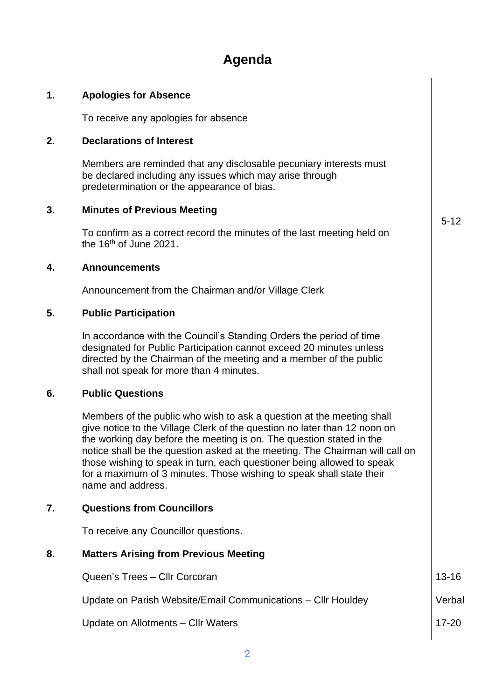# **Agenda**

#### **1. Apologies for Absence**

To receive any apologies for absence

#### **2. Declarations of Interest**

Members are reminded that any disclosable pecuniary interests must be declared including any issues which may arise through predetermination or the appearance of bias.

#### **3. Minutes of Previous Meeting**

To confirm as a correct record the minutes of the last meeting held on the 16<sup>th</sup> of June 2021.

#### **4. Announcements**

Announcement from the Chairman and/or Village Clerk

#### **5. Public Participation**

In accordance with the Council's Standing Orders the period of time designated for Public Participation cannot exceed 20 minutes unless directed by the Chairman of the meeting and a member of the public shall not speak for more than 4 minutes.

#### **6. Public Questions**

Members of the public who wish to ask a question at the meeting shall give notice to the Village Clerk of the question no later than 12 noon on the working day before the meeting is on. The question stated in the notice shall be the question asked at the meeting. The Chairman will call on those wishing to speak in turn, each questioner being allowed to speak for a maximum of 3 minutes. Those wishing to speak shall state their name and address.

#### **7. Questions from Councillors**

To receive any Councillor questions.

#### **8. Matters Arising from Previous Meeting**

Queen's Trees – Cllr Corcoran Update on Parish Website/Email Communications – Cllr Houldey Update on Allotments – Cllr Waters 13-16 Verbal 17-20

5-12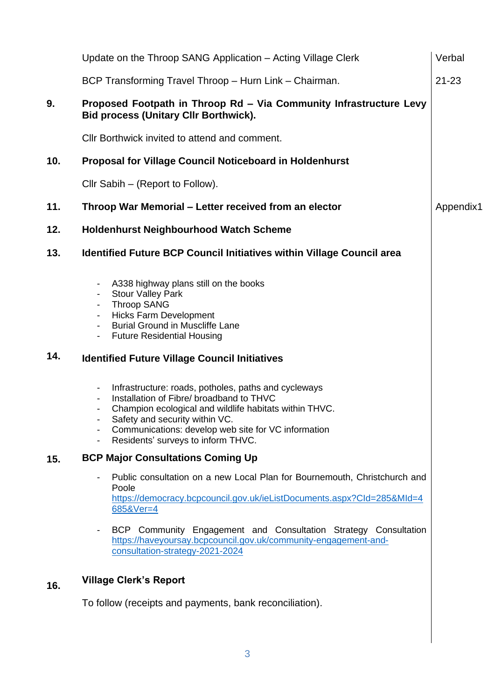|     | Update on the Throop SANG Application – Acting Village Clerk                                                                                                                                                                                                                                                                                                                                                                                                                                                                                                                                                                                                                                                                                                                             | Verbal    |  |
|-----|------------------------------------------------------------------------------------------------------------------------------------------------------------------------------------------------------------------------------------------------------------------------------------------------------------------------------------------------------------------------------------------------------------------------------------------------------------------------------------------------------------------------------------------------------------------------------------------------------------------------------------------------------------------------------------------------------------------------------------------------------------------------------------------|-----------|--|
|     | BCP Transforming Travel Throop - Hurn Link - Chairman.                                                                                                                                                                                                                                                                                                                                                                                                                                                                                                                                                                                                                                                                                                                                   | $21 - 23$ |  |
| 9.  | Proposed Footpath in Throop Rd - Via Community Infrastructure Levy<br><b>Bid process (Unitary CIIr Borthwick).</b>                                                                                                                                                                                                                                                                                                                                                                                                                                                                                                                                                                                                                                                                       |           |  |
|     | Cllr Borthwick invited to attend and comment.                                                                                                                                                                                                                                                                                                                                                                                                                                                                                                                                                                                                                                                                                                                                            |           |  |
| 10. | <b>Proposal for Village Council Noticeboard in Holdenhurst</b>                                                                                                                                                                                                                                                                                                                                                                                                                                                                                                                                                                                                                                                                                                                           |           |  |
|     | Cllr Sabih – (Report to Follow).                                                                                                                                                                                                                                                                                                                                                                                                                                                                                                                                                                                                                                                                                                                                                         |           |  |
| 11. | Throop War Memorial – Letter received from an elector<br>Appendix1                                                                                                                                                                                                                                                                                                                                                                                                                                                                                                                                                                                                                                                                                                                       |           |  |
| 12. | <b>Holdenhurst Neighbourhood Watch Scheme</b>                                                                                                                                                                                                                                                                                                                                                                                                                                                                                                                                                                                                                                                                                                                                            |           |  |
| 13. | <b>Identified Future BCP Council Initiatives within Village Council area</b>                                                                                                                                                                                                                                                                                                                                                                                                                                                                                                                                                                                                                                                                                                             |           |  |
| 14. | A338 highway plans still on the books<br>$\overline{\phantom{a}}$<br><b>Stour Valley Park</b><br>$\blacksquare$<br><b>Throop SANG</b><br>$\blacksquare$<br><b>Hicks Farm Development</b><br>$\blacksquare$<br><b>Burial Ground in Muscliffe Lane</b><br>$\overline{\phantom{a}}$<br><b>Future Residential Housing</b><br>$\blacksquare$<br><b>Identified Future Village Council Initiatives</b><br>Infrastructure: roads, potholes, paths and cycleways<br>$\blacksquare$<br>Installation of Fibre/ broadband to THVC<br>$\overline{\phantom{a}}$<br>Champion ecological and wildlife habitats within THVC.<br>$\overline{\phantom{a}}$<br>Safety and security within VC.<br>Communications: develop web site for VC information<br>Residents' surveys to inform THVC.<br>$\blacksquare$ |           |  |
| 15. | <b>BCP Major Consultations Coming Up</b>                                                                                                                                                                                                                                                                                                                                                                                                                                                                                                                                                                                                                                                                                                                                                 |           |  |
|     | Public consultation on a new Local Plan for Bournemouth, Christchurch and<br>$\overline{\phantom{a}}$<br>Poole<br>https://democracy.bcpcouncil.gov.uk/ieListDocuments.aspx?CId=285&MId=4<br>685&Ver=4                                                                                                                                                                                                                                                                                                                                                                                                                                                                                                                                                                                    |           |  |
|     | BCP Community Engagement and Consultation Strategy Consultation<br>$\overline{\phantom{a}}$<br>https://haveyoursay.bcpcouncil.gov.uk/community-engagement-and-<br>consultation-strategy-2021-2024                                                                                                                                                                                                                                                                                                                                                                                                                                                                                                                                                                                        |           |  |
| 16. | <b>Village Clerk's Report</b>                                                                                                                                                                                                                                                                                                                                                                                                                                                                                                                                                                                                                                                                                                                                                            |           |  |
|     | To follow (receipts and payments, bank reconciliation).                                                                                                                                                                                                                                                                                                                                                                                                                                                                                                                                                                                                                                                                                                                                  |           |  |

3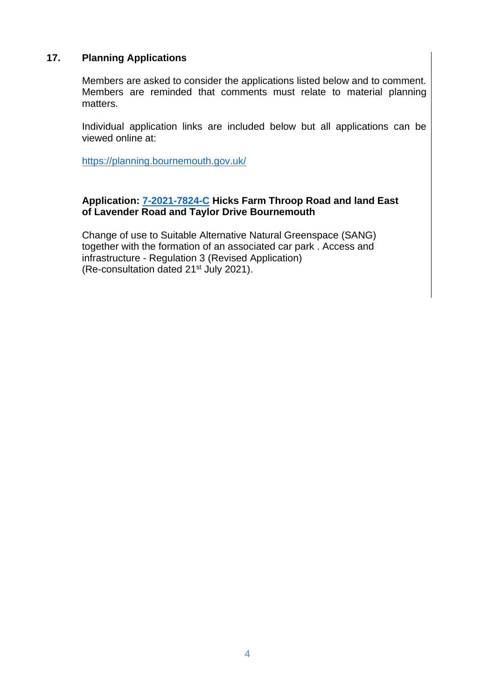## **17. Planning Applications**

Members are asked to consider the applications listed below and to comment. Members are reminded that comments must relate to material planning matters.

Individual application links are included below but all applications can be viewed online at:

<https://planning.bournemouth.gov.uk/>

#### **Application: [7-2021-7824-C](https://planning.bournemouth.gov.uk/plandisp.aspx?recno=102223) Hicks Farm Throop Road and land East of Lavender Road and Taylor Drive Bournemouth**

Change of use to Suitable Alternative Natural Greenspace (SANG) together with the formation of an associated car park . Access and infrastructure - Regulation 3 (Revised Application) (Re-consultation dated 21st July 2021).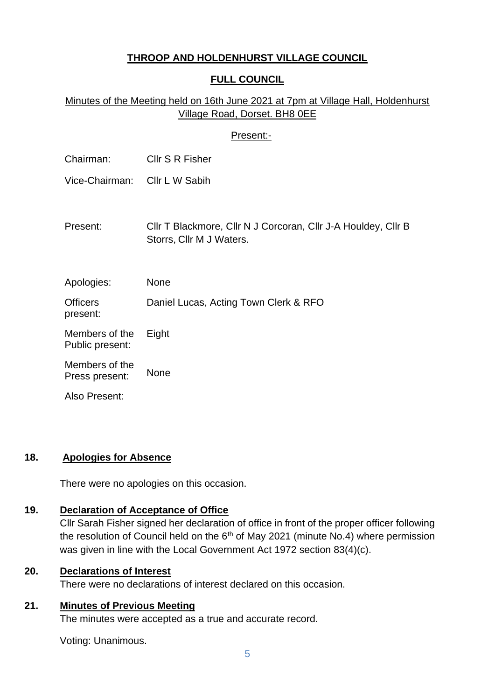# **THROOP AND HOLDENHURST VILLAGE COUNCIL**

# **FULL COUNCIL**

# Minutes of the Meeting held on 16th June 2021 at 7pm at Village Hall, Holdenhurst Village Road, Dorset. BH8 0EE

### Present:-

| Chairman:                         | Cllr S R Fisher                                                                           |
|-----------------------------------|-------------------------------------------------------------------------------------------|
| Vice-Chairman:                    | Cllr L W Sabih                                                                            |
|                                   |                                                                                           |
| Present:                          | Cllr T Blackmore, Cllr N J Corcoran, Cllr J-A Houldey, Cllr B<br>Storrs, Cllr M J Waters. |
|                                   |                                                                                           |
|                                   |                                                                                           |
| Apologies:                        | None                                                                                      |
| <b>Officers</b><br>present:       | Daniel Lucas, Acting Town Clerk & RFO                                                     |
| Members of the<br>Public present: | Eight                                                                                     |
| Members of the<br>Press present:  | None                                                                                      |
| Also Present:                     |                                                                                           |

#### **18. Apologies for Absence**

There were no apologies on this occasion.

### **19. Declaration of Acceptance of Office**

Cllr Sarah Fisher signed her declaration of office in front of the proper officer following the resolution of Council held on the  $6<sup>th</sup>$  of May 2021 (minute No.4) where permission was given in line with the Local Government Act 1972 section 83(4)(c).

# **20. Declarations of Interest**

There were no declarations of interest declared on this occasion.

# **21. Minutes of Previous Meeting**

The minutes were accepted as a true and accurate record.

Voting: Unanimous.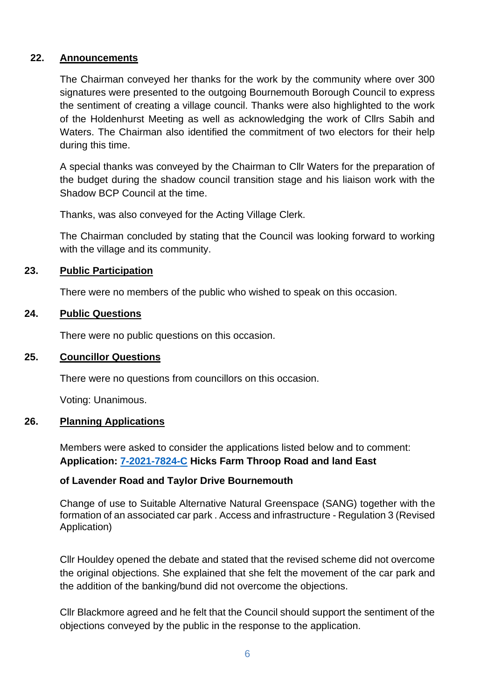### **22. Announcements**

The Chairman conveyed her thanks for the work by the community where over 300 signatures were presented to the outgoing Bournemouth Borough Council to express the sentiment of creating a village council. Thanks were also highlighted to the work of the Holdenhurst Meeting as well as acknowledging the work of Cllrs Sabih and Waters. The Chairman also identified the commitment of two electors for their help during this time.

A special thanks was conveyed by the Chairman to Cllr Waters for the preparation of the budget during the shadow council transition stage and his liaison work with the Shadow BCP Council at the time.

Thanks, was also conveyed for the Acting Village Clerk.

The Chairman concluded by stating that the Council was looking forward to working with the village and its community.

## **23. Public Participation**

There were no members of the public who wished to speak on this occasion.

## **24. Public Questions**

There were no public questions on this occasion.

#### **25. Councillor Questions**

There were no questions from councillors on this occasion.

Voting: Unanimous.

#### **26. Planning Applications**

Members were asked to consider the applications listed below and to comment: **Application: [7-2021-7824-C](https://planning.bournemouth.gov.uk/plandisp.aspx?recno=102223) Hicks Farm Throop Road and land East** 

#### **of Lavender Road and Taylor Drive Bournemouth**

Change of use to Suitable Alternative Natural Greenspace (SANG) together with the formation of an associated car park . Access and infrastructure - Regulation 3 (Revised Application)

Cllr Houldey opened the debate and stated that the revised scheme did not overcome the original objections. She explained that she felt the movement of the car park and the addition of the banking/bund did not overcome the objections.

Cllr Blackmore agreed and he felt that the Council should support the sentiment of the objections conveyed by the public in the response to the application.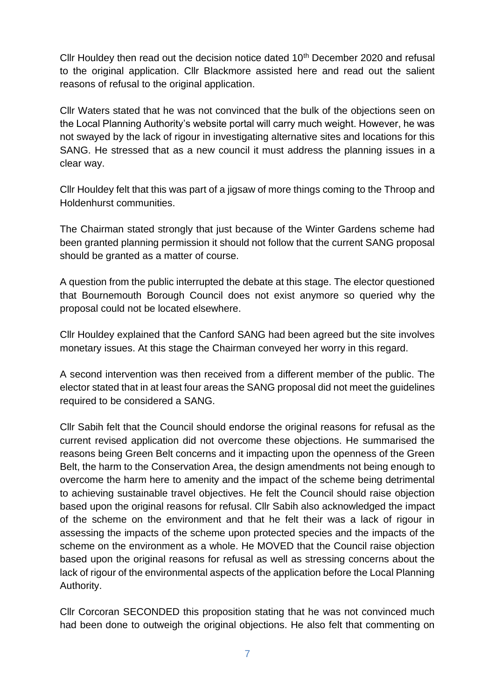Cllr Houldey then read out the decision notice dated 10<sup>th</sup> December 2020 and refusal to the original application. Cllr Blackmore assisted here and read out the salient reasons of refusal to the original application.

Cllr Waters stated that he was not convinced that the bulk of the objections seen on the Local Planning Authority's website portal will carry much weight. However, he was not swayed by the lack of rigour in investigating alternative sites and locations for this SANG. He stressed that as a new council it must address the planning issues in a clear way.

Cllr Houldey felt that this was part of a jigsaw of more things coming to the Throop and Holdenhurst communities.

The Chairman stated strongly that just because of the Winter Gardens scheme had been granted planning permission it should not follow that the current SANG proposal should be granted as a matter of course.

A question from the public interrupted the debate at this stage. The elector questioned that Bournemouth Borough Council does not exist anymore so queried why the proposal could not be located elsewhere.

Cllr Houldey explained that the Canford SANG had been agreed but the site involves monetary issues. At this stage the Chairman conveyed her worry in this regard.

A second intervention was then received from a different member of the public. The elector stated that in at least four areas the SANG proposal did not meet the guidelines required to be considered a SANG.

Cllr Sabih felt that the Council should endorse the original reasons for refusal as the current revised application did not overcome these objections. He summarised the reasons being Green Belt concerns and it impacting upon the openness of the Green Belt, the harm to the Conservation Area, the design amendments not being enough to overcome the harm here to amenity and the impact of the scheme being detrimental to achieving sustainable travel objectives. He felt the Council should raise objection based upon the original reasons for refusal. Cllr Sabih also acknowledged the impact of the scheme on the environment and that he felt their was a lack of rigour in assessing the impacts of the scheme upon protected species and the impacts of the scheme on the environment as a whole. He MOVED that the Council raise objection based upon the original reasons for refusal as well as stressing concerns about the lack of rigour of the environmental aspects of the application before the Local Planning Authority.

Cllr Corcoran SECONDED this proposition stating that he was not convinced much had been done to outweigh the original objections. He also felt that commenting on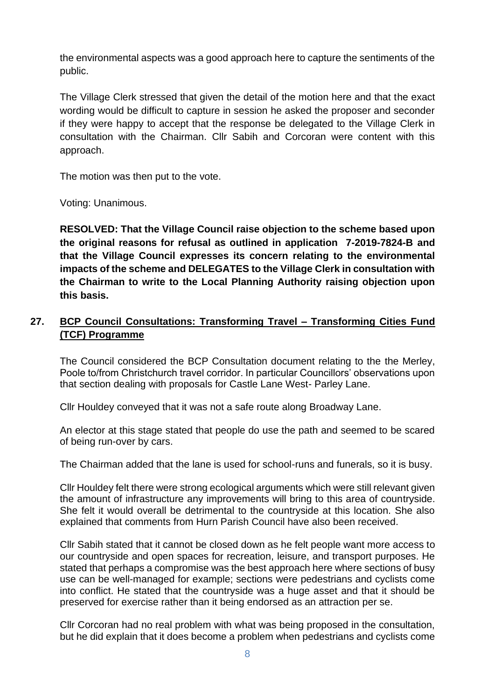the environmental aspects was a good approach here to capture the sentiments of the public.

The Village Clerk stressed that given the detail of the motion here and that the exact wording would be difficult to capture in session he asked the proposer and seconder if they were happy to accept that the response be delegated to the Village Clerk in consultation with the Chairman. Cllr Sabih and Corcoran were content with this approach.

The motion was then put to the vote.

Voting: Unanimous.

**RESOLVED: That the Village Council raise objection to the scheme based upon the original reasons for refusal as outlined in application 7-2019-7824-B and that the Village Council expresses its concern relating to the environmental impacts of the scheme and DELEGATES to the Village Clerk in consultation with the Chairman to write to the Local Planning Authority raising objection upon this basis.** 

# **27. BCP Council Consultations: Transforming Travel – Transforming Cities Fund (TCF) Programme**

The Council considered the BCP Consultation document relating to the the Merley, Poole to/from Christchurch travel corridor. In particular Councillors' observations upon that section dealing with proposals for Castle Lane West- Parley Lane.

Cllr Houldey conveyed that it was not a safe route along Broadway Lane.

An elector at this stage stated that people do use the path and seemed to be scared of being run-over by cars.

The Chairman added that the lane is used for school-runs and funerals, so it is busy.

Cllr Houldey felt there were strong ecological arguments which were still relevant given the amount of infrastructure any improvements will bring to this area of countryside. She felt it would overall be detrimental to the countryside at this location. She also explained that comments from Hurn Parish Council have also been received.

Cllr Sabih stated that it cannot be closed down as he felt people want more access to our countryside and open spaces for recreation, leisure, and transport purposes. He stated that perhaps a compromise was the best approach here where sections of busy use can be well-managed for example; sections were pedestrians and cyclists come into conflict. He stated that the countryside was a huge asset and that it should be preserved for exercise rather than it being endorsed as an attraction per se.

Cllr Corcoran had no real problem with what was being proposed in the consultation, but he did explain that it does become a problem when pedestrians and cyclists come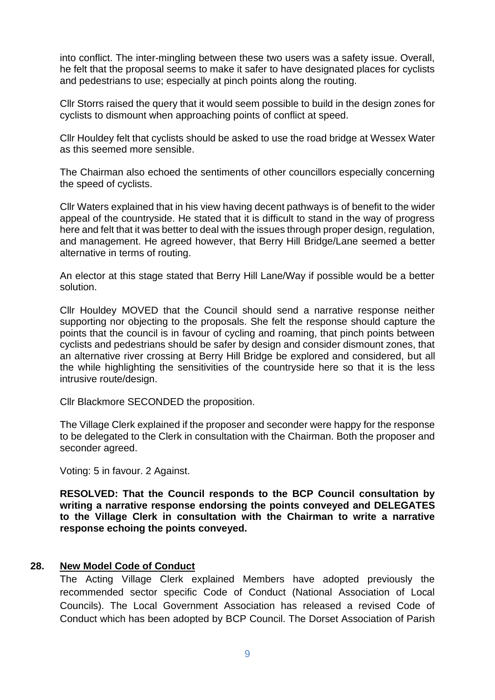into conflict. The inter-mingling between these two users was a safety issue. Overall, he felt that the proposal seems to make it safer to have designated places for cyclists and pedestrians to use; especially at pinch points along the routing.

Cllr Storrs raised the query that it would seem possible to build in the design zones for cyclists to dismount when approaching points of conflict at speed.

Cllr Houldey felt that cyclists should be asked to use the road bridge at Wessex Water as this seemed more sensible.

The Chairman also echoed the sentiments of other councillors especially concerning the speed of cyclists.

Cllr Waters explained that in his view having decent pathways is of benefit to the wider appeal of the countryside. He stated that it is difficult to stand in the way of progress here and felt that it was better to deal with the issues through proper design, regulation, and management. He agreed however, that Berry Hill Bridge/Lane seemed a better alternative in terms of routing.

An elector at this stage stated that Berry Hill Lane/Way if possible would be a better solution.

Cllr Houldey MOVED that the Council should send a narrative response neither supporting nor objecting to the proposals. She felt the response should capture the points that the council is in favour of cycling and roaming, that pinch points between cyclists and pedestrians should be safer by design and consider dismount zones, that an alternative river crossing at Berry Hill Bridge be explored and considered, but all the while highlighting the sensitivities of the countryside here so that it is the less intrusive route/design.

Cllr Blackmore SECONDED the proposition.

The Village Clerk explained if the proposer and seconder were happy for the response to be delegated to the Clerk in consultation with the Chairman. Both the proposer and seconder agreed.

Voting: 5 in favour. 2 Against.

**RESOLVED: That the Council responds to the BCP Council consultation by writing a narrative response endorsing the points conveyed and DELEGATES to the Village Clerk in consultation with the Chairman to write a narrative response echoing the points conveyed.** 

#### **28. New Model Code of Conduct**

The Acting Village Clerk explained Members have adopted previously the recommended sector specific Code of Conduct (National Association of Local Councils). The Local Government Association has released a revised Code of Conduct which has been adopted by BCP Council. The Dorset Association of Parish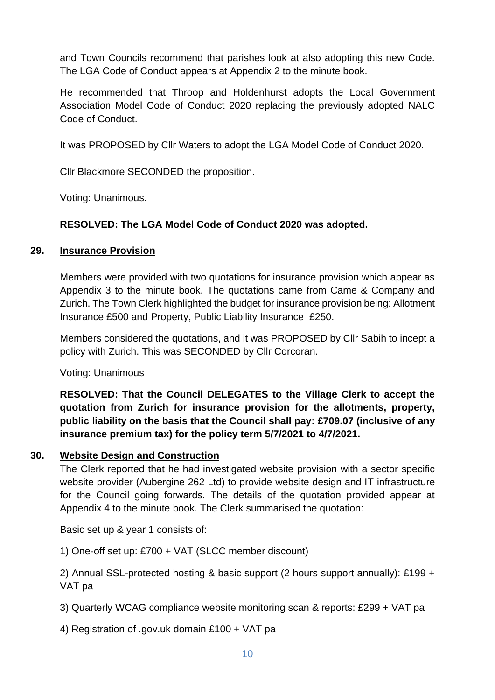and Town Councils recommend that parishes look at also adopting this new Code. The LGA Code of Conduct appears at Appendix 2 to the minute book.

He recommended that Throop and Holdenhurst adopts the Local Government Association Model Code of Conduct 2020 replacing the previously adopted NALC Code of Conduct.

It was PROPOSED by Cllr Waters to adopt the LGA Model Code of Conduct 2020.

Cllr Blackmore SECONDED the proposition.

Voting: Unanimous.

# **RESOLVED: The LGA Model Code of Conduct 2020 was adopted.**

# **29. Insurance Provision**

Members were provided with two quotations for insurance provision which appear as Appendix 3 to the minute book. The quotations came from Came & Company and Zurich. The Town Clerk highlighted the budget for insurance provision being: Allotment Insurance £500 and Property, Public Liability Insurance £250.

Members considered the quotations, and it was PROPOSED by Cllr Sabih to incept a policy with Zurich. This was SECONDED by Cllr Corcoran.

Voting: Unanimous

**RESOLVED: That the Council DELEGATES to the Village Clerk to accept the quotation from Zurich for insurance provision for the allotments, property, public liability on the basis that the Council shall pay: £709.07 (inclusive of any insurance premium tax) for the policy term 5/7/2021 to 4/7/2021.**

# **30. Website Design and Construction**

The Clerk reported that he had investigated website provision with a sector specific website provider (Aubergine 262 Ltd) to provide website design and IT infrastructure for the Council going forwards. The details of the quotation provided appear at Appendix 4 to the minute book. The Clerk summarised the quotation:

Basic set up & year 1 consists of:

1) One-off set up: £700 + VAT (SLCC member discount)

2) Annual SSL-protected hosting & basic support (2 hours support annually): £199 + VAT pa

3) Quarterly WCAG compliance website monitoring scan & reports: £299 + VAT pa

4) Registration of .gov.uk domain £100 + VAT pa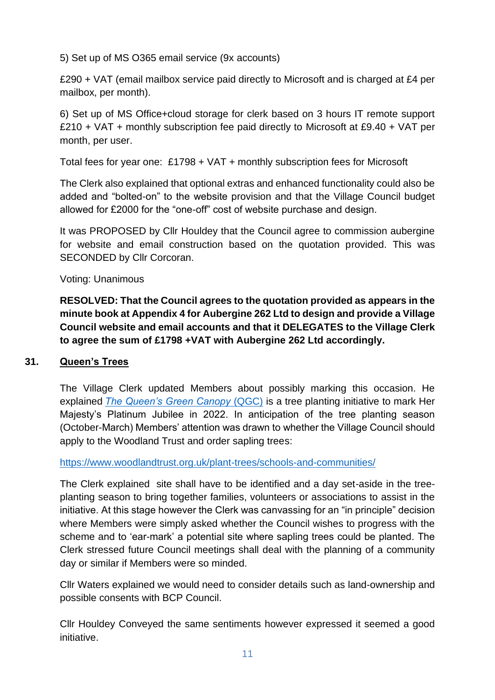5) Set up of MS O365 email service (9x accounts)

£290 + VAT (email mailbox service paid directly to Microsoft and is charged at £4 per mailbox, per month).

6) Set up of MS Office+cloud storage for clerk based on 3 hours IT remote support £210 + VAT + monthly subscription fee paid directly to Microsoft at £9.40 + VAT per month, per user.

Total fees for year one: £1798 + VAT + monthly subscription fees for Microsoft

The Clerk also explained that optional extras and enhanced functionality could also be added and "bolted-on" to the website provision and that the Village Council budget allowed for £2000 for the "one-off" cost of website purchase and design.

It was PROPOSED by Cllr Houldey that the Council agree to commission aubergine for website and email construction based on the quotation provided. This was SECONDED by Cllr Corcoran.

Voting: Unanimous

**RESOLVED: That the Council agrees to the quotation provided as appears in the minute book at Appendix 4 for Aubergine 262 Ltd to design and provide a Village Council website and email accounts and that it DELEGATES to the Village Clerk to agree the sum of £1798 +VAT with Aubergine 262 Ltd accordingly.** 

# **31. Queen's Trees**

The Village Clerk updated Members about possibly marking this occasion. He explained *[The Queen's Green Canopy](https://queensgreencanopy.org/)* (QGC) is a tree planting initiative to mark Her Majesty's Platinum Jubilee in 2022. In anticipation of the tree planting season (October-March) Members' attention was drawn to whether the Village Council should apply to the Woodland Trust and order sapling trees:

<https://www.woodlandtrust.org.uk/plant-trees/schools-and-communities/>

The Clerk explained site shall have to be identified and a day set-aside in the treeplanting season to bring together families, volunteers or associations to assist in the initiative. At this stage however the Clerk was canvassing for an "in principle" decision where Members were simply asked whether the Council wishes to progress with the scheme and to 'ear-mark' a potential site where sapling trees could be planted. The Clerk stressed future Council meetings shall deal with the planning of a community day or similar if Members were so minded.

Cllr Waters explained we would need to consider details such as land-ownership and possible consents with BCP Council.

Cllr Houldey Conveyed the same sentiments however expressed it seemed a good initiative.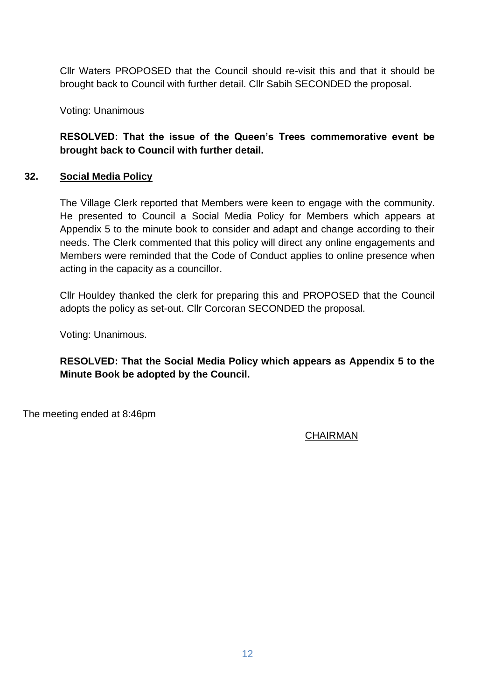Cllr Waters PROPOSED that the Council should re-visit this and that it should be brought back to Council with further detail. Cllr Sabih SECONDED the proposal.

Voting: Unanimous

**RESOLVED: That the issue of the Queen's Trees commemorative event be brought back to Council with further detail.**

## **32. Social Media Policy**

The Village Clerk reported that Members were keen to engage with the community. He presented to Council a Social Media Policy for Members which appears at Appendix 5 to the minute book to consider and adapt and change according to their needs. The Clerk commented that this policy will direct any online engagements and Members were reminded that the Code of Conduct applies to online presence when acting in the capacity as a councillor.

Cllr Houldey thanked the clerk for preparing this and PROPOSED that the Council adopts the policy as set-out. Cllr Corcoran SECONDED the proposal.

Voting: Unanimous.

**RESOLVED: That the Social Media Policy which appears as Appendix 5 to the Minute Book be adopted by the Council.**

The meeting ended at 8:46pm

# CHAIRMAN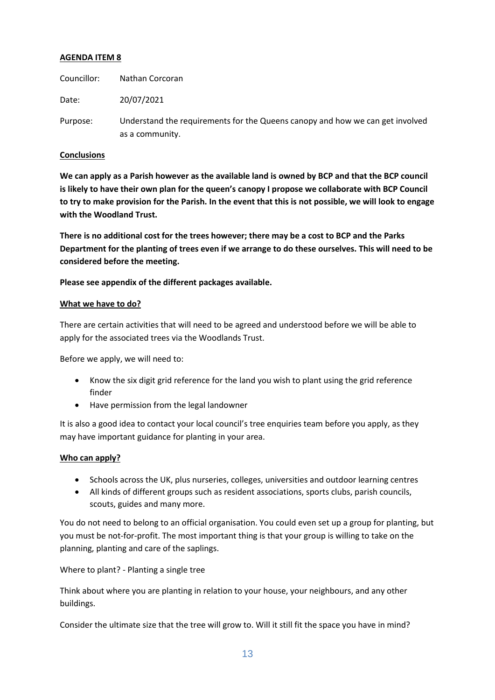#### **AGENDA ITEM 8**

| Councillor: | Nathan Corcoran                                                                                  |
|-------------|--------------------------------------------------------------------------------------------------|
| Date:       | 20/07/2021                                                                                       |
| Purpose:    | Understand the requirements for the Queens canopy and how we can get involved<br>as a community. |

#### **Conclusions**

**We can apply as a Parish however as the available land is owned by BCP and that the BCP council is likely to have their own plan for the queen's canopy I propose we collaborate with BCP Council to try to make provision for the Parish. In the event that this is not possible, we will look to engage with the Woodland Trust.** 

**There is no additional cost for the trees however; there may be a cost to BCP and the Parks Department for the planting of trees even if we arrange to do these ourselves. This will need to be considered before the meeting.** 

**Please see appendix of the different packages available.**

#### **What we have to do?**

There are certain activities that will need to be agreed and understood before we will be able to apply for the associated trees via the Woodlands Trust.

Before we apply, we will need to:

- Know the six digit grid reference for the land you wish to plant using the grid reference finder
- Have permission from the legal landowner

It is also a good idea to contact your local council's tree enquiries team before you apply, as they may have important guidance for planting in your area.

#### **Who can apply?**

- Schools across the UK, plus nurseries, colleges, universities and outdoor learning centres
- All kinds of different groups such as resident associations, sports clubs, parish councils, scouts, guides and many more.

You do not need to belong to an official organisation. You could even set up a group for planting, but you must be not-for-profit. The most important thing is that your group is willing to take on the planning, planting and care of the saplings.

Where to plant? - Planting a single tree

Think about where you are planting in relation to your house, your neighbours, and any other buildings.

Consider the ultimate size that the tree will grow to. Will it still fit the space you have in mind?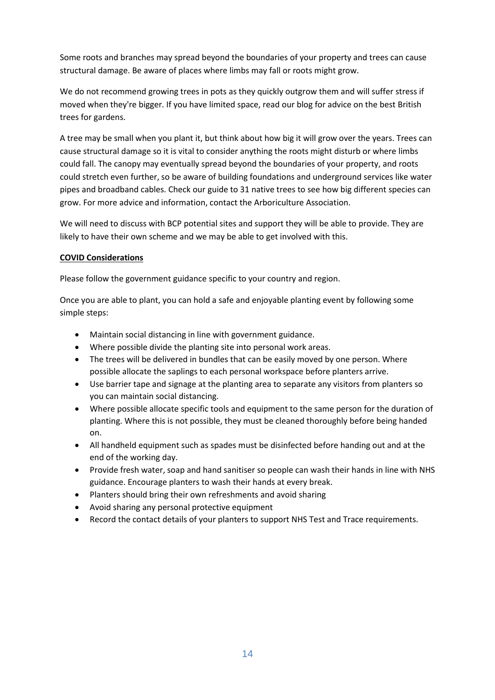Some roots and branches may spread beyond the boundaries of your property and trees can cause structural damage. Be aware of places where limbs may fall or roots might grow.

We do not recommend growing trees in pots as they quickly outgrow them and will suffer stress if moved when they're bigger. If you have limited space, read our blog for advice on the best British trees for gardens.

A tree may be small when you plant it, but think about how big it will grow over the years. Trees can cause structural damage so it is vital to consider anything the roots might disturb or where limbs could fall. The canopy may eventually spread beyond the boundaries of your property, and roots could stretch even further, so be aware of building foundations and underground services like water pipes and broadband cables. Check our guide to 31 native trees to see how big different species can grow. For more advice and information, contact the Arboriculture Association.

We will need to discuss with BCP potential sites and support they will be able to provide. They are likely to have their own scheme and we may be able to get involved with this.

#### **COVID Considerations**

Please follow the government guidance specific to your country and region.

Once you are able to plant, you can hold a safe and enjoyable planting event by following some simple steps:

- Maintain social distancing in line with government guidance.
- Where possible divide the planting site into personal work areas.
- The trees will be delivered in bundles that can be easily moved by one person. Where possible allocate the saplings to each personal workspace before planters arrive.
- Use barrier tape and signage at the planting area to separate any visitors from planters so you can maintain social distancing.
- Where possible allocate specific tools and equipment to the same person for the duration of planting. Where this is not possible, they must be cleaned thoroughly before being handed on.
- All handheld equipment such as spades must be disinfected before handing out and at the end of the working day.
- Provide fresh water, soap and hand sanitiser so people can wash their hands in line with NHS guidance. Encourage planters to wash their hands at every break.
- Planters should bring their own refreshments and avoid sharing
- Avoid sharing any personal protective equipment
- Record the contact details of your planters to support NHS Test and Trace requirements.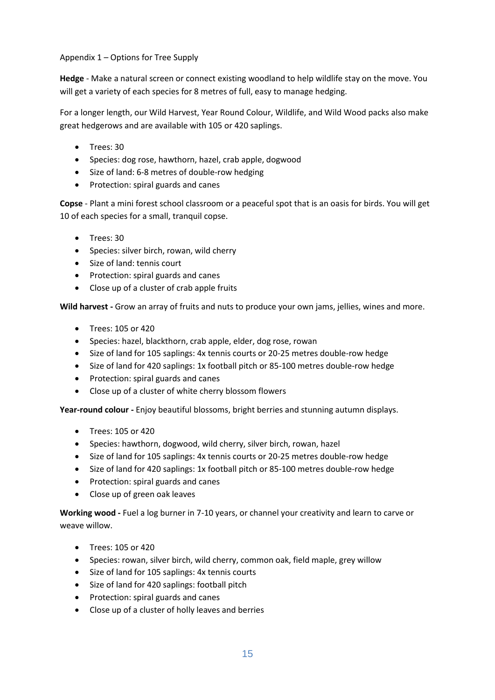Appendix 1 – Options for Tree Supply

**Hedge** - Make a natural screen or connect existing woodland to help wildlife stay on the move. You will get a variety of each species for 8 metres of full, easy to manage hedging.

For a longer length, our Wild Harvest, Year Round Colour, Wildlife, and Wild Wood packs also make great hedgerows and are available with 105 or 420 saplings.

- Trees: 30
- Species: dog rose, hawthorn, hazel, crab apple, dogwood
- Size of land: 6-8 metres of double-row hedging
- Protection: spiral guards and canes

**Copse** - Plant a mini forest school classroom or a peaceful spot that is an oasis for birds. You will get 10 of each species for a small, tranquil copse.

- Trees: 30
- Species: silver birch, rowan, wild cherry
- Size of land: tennis court
- Protection: spiral guards and canes
- Close up of a cluster of crab apple fruits

**Wild harvest -** Grow an array of fruits and nuts to produce your own jams, jellies, wines and more.

- Trees: 105 or 420
- Species: hazel, blackthorn, crab apple, elder, dog rose, rowan
- Size of land for 105 saplings: 4x tennis courts or 20-25 metres double-row hedge
- Size of land for 420 saplings: 1x football pitch or 85-100 metres double-row hedge
- Protection: spiral guards and canes
- Close up of a cluster of white cherry blossom flowers

**Year-round colour -** Enjoy beautiful blossoms, bright berries and stunning autumn displays.

- Trees: 105 or 420
- Species: hawthorn, dogwood, wild cherry, silver birch, rowan, hazel
- Size of land for 105 saplings: 4x tennis courts or 20-25 metres double-row hedge
- Size of land for 420 saplings: 1x football pitch or 85-100 metres double-row hedge
- Protection: spiral guards and canes
- Close up of green oak leaves

**Working wood -** Fuel a log burner in 7-10 years, or channel your creativity and learn to carve or weave willow.

- Trees: 105 or 420
- Species: rowan, silver birch, wild cherry, common oak, field maple, grey willow
- Size of land for 105 saplings: 4x tennis courts
- Size of land for 420 saplings: football pitch
- Protection: spiral guards and canes
- Close up of a cluster of holly leaves and berries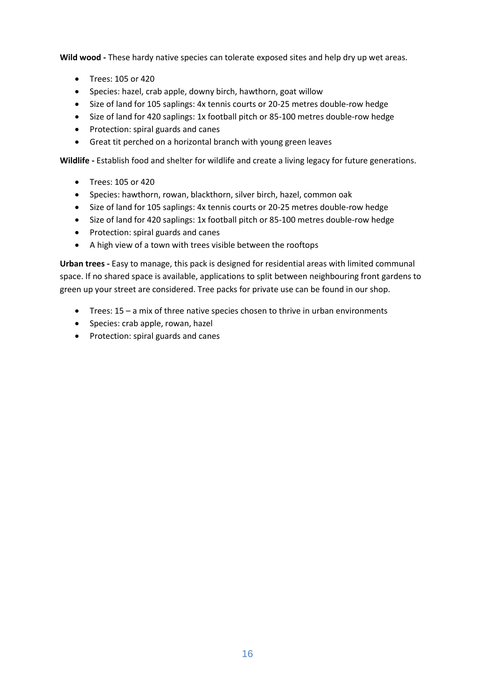**Wild wood -** These hardy native species can tolerate exposed sites and help dry up wet areas.

- Trees: 105 or 420
- Species: hazel, crab apple, downy birch, hawthorn, goat willow
- Size of land for 105 saplings: 4x tennis courts or 20-25 metres double-row hedge
- Size of land for 420 saplings: 1x football pitch or 85-100 metres double-row hedge
- Protection: spiral guards and canes
- Great tit perched on a horizontal branch with young green leaves

**Wildlife -** Establish food and shelter for wildlife and create a living legacy for future generations.

- Trees: 105 or 420
- Species: hawthorn, rowan, blackthorn, silver birch, hazel, common oak
- Size of land for 105 saplings: 4x tennis courts or 20-25 metres double-row hedge
- Size of land for 420 saplings: 1x football pitch or 85-100 metres double-row hedge
- Protection: spiral guards and canes
- A high view of a town with trees visible between the rooftops

**Urban trees -** Easy to manage, this pack is designed for residential areas with limited communal space. If no shared space is available, applications to split between neighbouring front gardens to green up your street are considered. Tree packs for private use can be found in our shop.

- Trees: 15 a mix of three native species chosen to thrive in urban environments
- Species: crab apple, rowan, hazel
- Protection: spiral guards and canes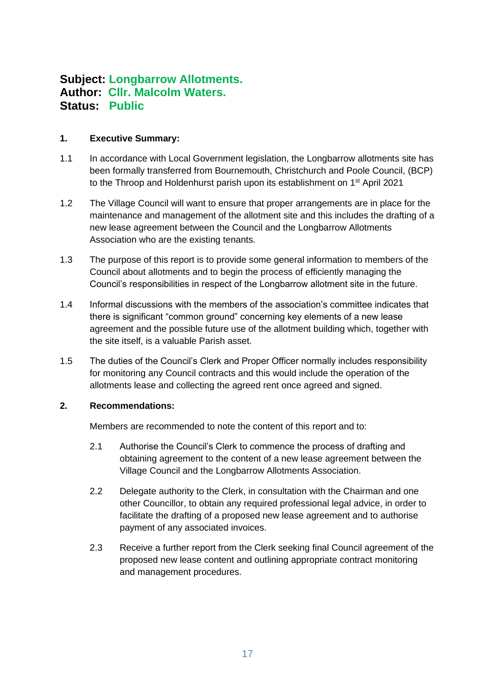# **Subject: Longbarrow Allotments. Author: Cllr. Malcolm Waters. Status: Public**

#### **1. Executive Summary:**

- 1.1 In accordance with Local Government legislation, the Longbarrow allotments site has been formally transferred from Bournemouth, Christchurch and Poole Council, (BCP) to the Throop and Holdenhurst parish upon its establishment on 1<sup>st</sup> April 2021
- 1.2 The Village Council will want to ensure that proper arrangements are in place for the maintenance and management of the allotment site and this includes the drafting of a new lease agreement between the Council and the Longbarrow Allotments Association who are the existing tenants.
- 1.3 The purpose of this report is to provide some general information to members of the Council about allotments and to begin the process of efficiently managing the Council's responsibilities in respect of the Longbarrow allotment site in the future.
- 1.4 Informal discussions with the members of the association's committee indicates that there is significant "common ground" concerning key elements of a new lease agreement and the possible future use of the allotment building which, together with the site itself, is a valuable Parish asset.
- 1.5 The duties of the Council's Clerk and Proper Officer normally includes responsibility for monitoring any Council contracts and this would include the operation of the allotments lease and collecting the agreed rent once agreed and signed.

#### **2. Recommendations:**

Members are recommended to note the content of this report and to:

- 2.1 Authorise the Council's Clerk to commence the process of drafting and obtaining agreement to the content of a new lease agreement between the Village Council and the Longbarrow Allotments Association.
- 2.2 Delegate authority to the Clerk, in consultation with the Chairman and one other Councillor, to obtain any required professional legal advice, in order to facilitate the drafting of a proposed new lease agreement and to authorise payment of any associated invoices.
- 2.3 Receive a further report from the Clerk seeking final Council agreement of the proposed new lease content and outlining appropriate contract monitoring and management procedures.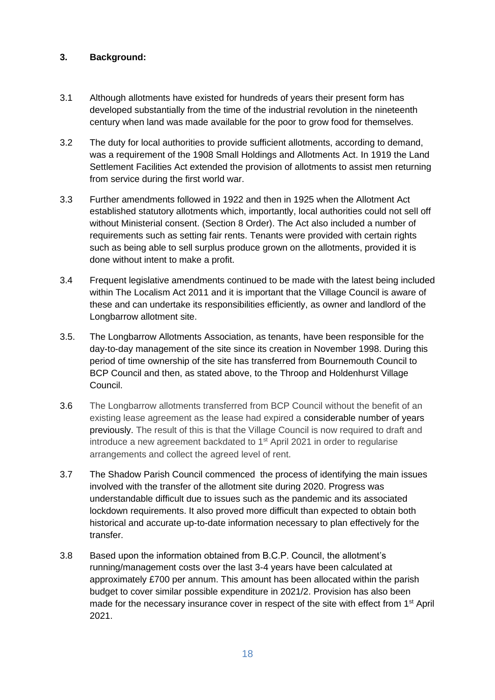### **3. Background:**

- 3.1 Although allotments have existed for hundreds of years their present form has developed substantially from the time of the industrial revolution in the nineteenth century when land was made available for the poor to grow food for themselves.
- 3.2 The duty for local authorities to provide sufficient allotments, according to demand, was a requirement of the 1908 Small Holdings and Allotments Act. In 1919 the Land Settlement Facilities Act extended the provision of allotments to assist men returning from service during the first world war.
- 3.3 Further amendments followed in 1922 and then in 1925 when the Allotment Act established statutory allotments which, importantly, local authorities could not sell off without Ministerial consent. (Section 8 Order). The Act also included a number of requirements such as setting fair rents. Tenants were provided with certain rights such as being able to sell surplus produce grown on the allotments, provided it is done without intent to make a profit.
- 3.4 Frequent legislative amendments continued to be made with the latest being included within The Localism Act 2011 and it is important that the Village Council is aware of these and can undertake its responsibilities efficiently, as owner and landlord of the Longbarrow allotment site.
- 3.5. The Longbarrow Allotments Association, as tenants, have been responsible for the day-to-day management of the site since its creation in November 1998. During this period of time ownership of the site has transferred from Bournemouth Council to BCP Council and then, as stated above, to the Throop and Holdenhurst Village Council.
- 3.6 The Longbarrow allotments transferred from BCP Council without the benefit of an existing lease agreement as the lease had expired a considerable number of years previously. The result of this is that the Village Council is now required to draft and introduce a new agreement backdated to 1<sup>st</sup> April 2021 in order to regularise arrangements and collect the agreed level of rent.
- 3.7 The Shadow Parish Council commenced the process of identifying the main issues involved with the transfer of the allotment site during 2020. Progress was understandable difficult due to issues such as the pandemic and its associated lockdown requirements. It also proved more difficult than expected to obtain both historical and accurate up-to-date information necessary to plan effectively for the transfer.
- 3.8 Based upon the information obtained from B.C.P. Council, the allotment's running/management costs over the last 3-4 years have been calculated at approximately £700 per annum. This amount has been allocated within the parish budget to cover similar possible expenditure in 2021/2. Provision has also been made for the necessary insurance cover in respect of the site with effect from 1<sup>st</sup> April 2021.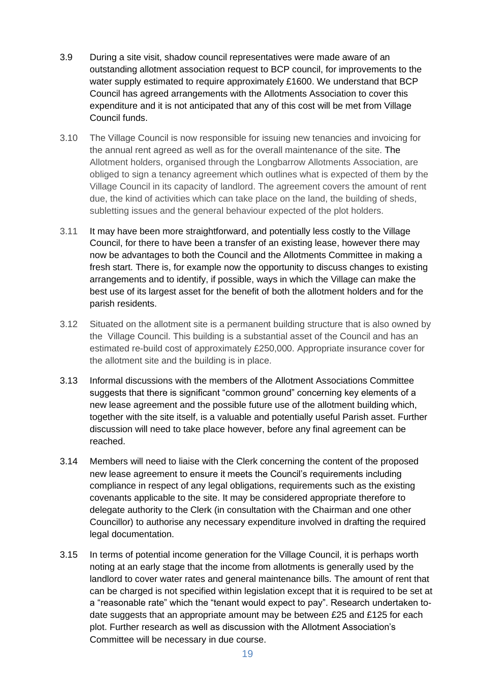- 3.9 During a site visit, shadow council representatives were made aware of an outstanding allotment association request to BCP council, for improvements to the water supply estimated to require approximately £1600. We understand that BCP Council has agreed arrangements with the Allotments Association to cover this expenditure and it is not anticipated that any of this cost will be met from Village Council funds.
- 3.10 The Village Council is now responsible for issuing new tenancies and invoicing for the annual rent agreed as well as for the overall maintenance of the site. The Allotment holders, organised through the Longbarrow Allotments Association, are obliged to sign a tenancy agreement which outlines what is expected of them by the Village Council in its capacity of landlord. The agreement covers the amount of rent due, the kind of activities which can take place on the land, the building of sheds, subletting issues and the general behaviour expected of the plot holders.
- 3.11 It may have been more straightforward, and potentially less costly to the Village Council, for there to have been a transfer of an existing lease, however there may now be advantages to both the Council and the Allotments Committee in making a fresh start. There is, for example now the opportunity to discuss changes to existing arrangements and to identify, if possible, ways in which the Village can make the best use of its largest asset for the benefit of both the allotment holders and for the parish residents.
- 3.12 Situated on the allotment site is a permanent building structure that is also owned by the Village Council. This building is a substantial asset of the Council and has an estimated re-build cost of approximately £250,000. Appropriate insurance cover for the allotment site and the building is in place.
- 3.13 Informal discussions with the members of the Allotment Associations Committee suggests that there is significant "common ground" concerning key elements of a new lease agreement and the possible future use of the allotment building which, together with the site itself, is a valuable and potentially useful Parish asset. Further discussion will need to take place however, before any final agreement can be reached.
- 3.14 Members will need to liaise with the Clerk concerning the content of the proposed new lease agreement to ensure it meets the Council's requirements including compliance in respect of any legal obligations, requirements such as the existing covenants applicable to the site. It may be considered appropriate therefore to delegate authority to the Clerk (in consultation with the Chairman and one other Councillor) to authorise any necessary expenditure involved in drafting the required legal documentation.
- 3.15 In terms of potential income generation for the Village Council, it is perhaps worth noting at an early stage that the income from allotments is generally used by the landlord to cover water rates and general maintenance bills. The amount of rent that can be charged is not specified within legislation except that it is required to be set at a "reasonable rate" which the "tenant would expect to pay". Research undertaken todate suggests that an appropriate amount may be between £25 and £125 for each plot. Further research as well as discussion with the Allotment Association's Committee will be necessary in due course.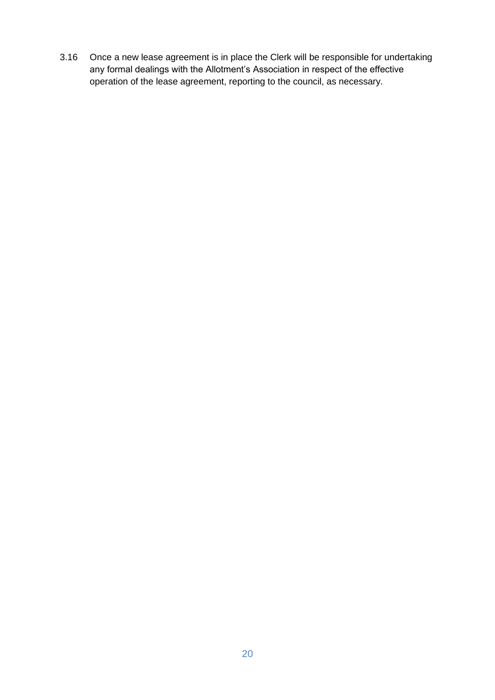3.16 Once a new lease agreement is in place the Clerk will be responsible for undertaking any formal dealings with the Allotment's Association in respect of the effective operation of the lease agreement, reporting to the council, as necessary.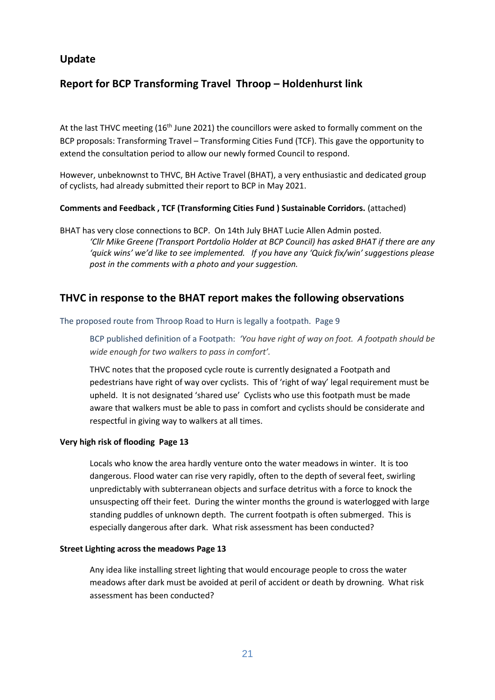## **Update**

# **Report for BCP Transforming Travel Throop – Holdenhurst link**

At the last THVC meeting  $(16<sup>th</sup>$  June 2021) the councillors were asked to formally comment on the BCP proposals: Transforming Travel – Transforming Cities Fund (TCF). This gave the opportunity to extend the consultation period to allow our newly formed Council to respond.

However, unbeknownst to THVC, BH Active Travel (BHAT), a very enthusiastic and dedicated group of cyclists, had already submitted their report to BCP in May 2021.

#### **Comments and Feedback , TCF (Transforming Cities Fund ) Sustainable Corridors.** (attached)

BHAT has very close connections to BCP. On 14th July BHAT Lucie Allen Admin posted. *'Cllr Mike Greene (Transport Portdolio Holder at BCP Council) has asked BHAT if there are any*  'quick wins' we'd like to see implemented. If you have any 'Quick fix/win' suggestions please *post in the comments with a photo and your suggestion.*

## **THVC in response to the BHAT report makes the following observations**

#### The proposed route from Throop Road to Hurn is legally a footpath. Page 9

BCP published definition of a Footpath: *'You have right of way on foot. A footpath should be wide enough for two walkers to pass in comfort'.* 

THVC notes that the proposed cycle route is currently designated a Footpath and pedestrians have right of way over cyclists. This of 'right of way' legal requirement must be upheld. It is not designated 'shared use' Cyclists who use this footpath must be made aware that walkers must be able to pass in comfort and cyclists should be considerate and respectful in giving way to walkers at all times.

#### **Very high risk of flooding Page 13**

Locals who know the area hardly venture onto the water meadows in winter. It is too dangerous. Flood water can rise very rapidly, often to the depth of several feet, swirling unpredictably with subterranean objects and surface detritus with a force to knock the unsuspecting off their feet. During the winter months the ground is waterlogged with large standing puddles of unknown depth. The current footpath is often submerged. This is especially dangerous after dark. What risk assessment has been conducted?

#### **Street Lighting across the meadows Page 13**

Any idea like installing street lighting that would encourage people to cross the water meadows after dark must be avoided at peril of accident or death by drowning. What risk assessment has been conducted?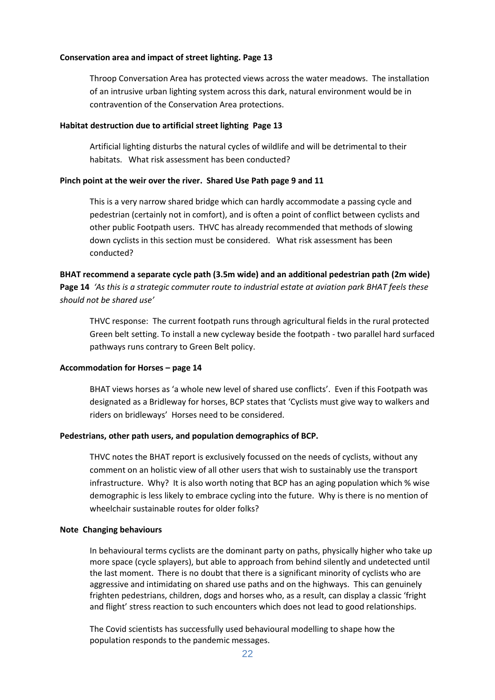#### **Conservation area and impact of street lighting. Page 13**

Throop Conversation Area has protected views across the water meadows. The installation of an intrusive urban lighting system across this dark, natural environment would be in contravention of the Conservation Area protections.

#### **Habitat destruction due to artificial street lighting Page 13**

Artificial lighting disturbs the natural cycles of wildlife and will be detrimental to their habitats. What risk assessment has been conducted?

#### **Pinch point at the weir over the river. Shared Use Path page 9 and 11**

This is a very narrow shared bridge which can hardly accommodate a passing cycle and pedestrian (certainly not in comfort), and is often a point of conflict between cyclists and other public Footpath users. THVC has already recommended that methods of slowing down cyclists in this section must be considered. What risk assessment has been conducted?

#### **BHAT recommend a separate cycle path (3.5m wide) and an additional pedestrian path (2m wide) Page 14** *'As this is a strategic commuter route to industrial estate at aviation park BHAT feels these should not be shared use'*

THVC response: The current footpath runs through agricultural fields in the rural protected Green belt setting. To install a new cycleway beside the footpath - two parallel hard surfaced pathways runs contrary to Green Belt policy.

#### **Accommodation for Horses – page 14**

BHAT views horses as 'a whole new level of shared use conflicts'. Even if this Footpath was designated as a Bridleway for horses, BCP states that 'Cyclists must give way to walkers and riders on bridleways' Horses need to be considered.

#### **Pedestrians, other path users, and population demographics of BCP.**

THVC notes the BHAT report is exclusively focussed on the needs of cyclists, without any comment on an holistic view of all other users that wish to sustainably use the transport infrastructure. Why? It is also worth noting that BCP has an aging population which % wise demographic is less likely to embrace cycling into the future. Why is there is no mention of wheelchair sustainable routes for older folks?

#### **Note Changing behaviours**

In behavioural terms cyclists are the dominant party on paths, physically higher who take up more space (cycle splayers), but able to approach from behind silently and undetected until the last moment. There is no doubt that there is a significant minority of cyclists who are aggressive and intimidating on shared use paths and on the highways. This can genuinely frighten pedestrians, children, dogs and horses who, as a result, can display a classic 'fright and flight' stress reaction to such encounters which does not lead to good relationships.

The Covid scientists has successfully used behavioural modelling to shape how the population responds to the pandemic messages.